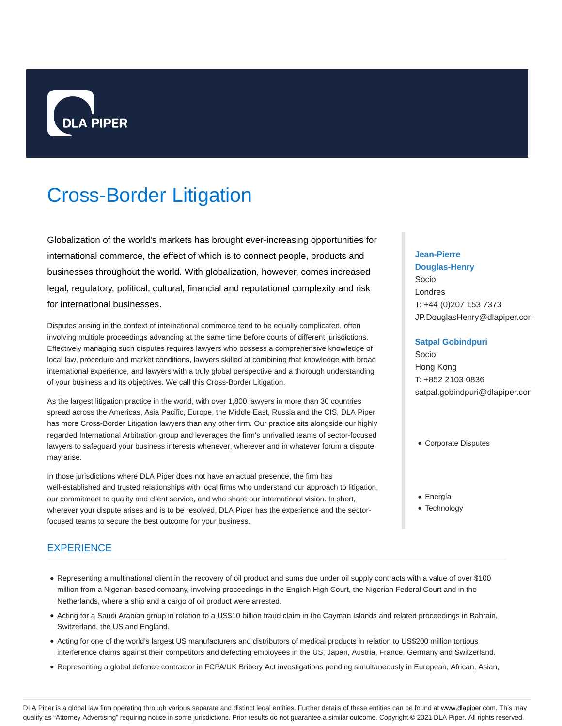

# Cross-Border Litigation

Globalization of the world's markets has brought ever-increasing opportunities for international commerce, the effect of which is to connect people, products and businesses throughout the world. With globalization, however, comes increased legal, regulatory, political, cultural, financial and reputational complexity and risk for international businesses.

Disputes arising in the context of international commerce tend to be equally complicated, often involving multiple proceedings advancing at the same time before courts of different jurisdictions. Effectively managing such disputes requires lawyers who possess a comprehensive knowledge of local law, procedure and market conditions, lawyers skilled at combining that knowledge with broad international experience, and lawyers with a truly global perspective and a thorough understanding of your business and its objectives. We call this Cross-Border Litigation.

As the largest litigation practice in the world, with over 1,800 lawyers in more than 30 countries spread across the Americas, Asia Pacific, Europe, the Middle East, Russia and the CIS, DLA Piper has more Cross-Border Litigation lawyers than any other firm. Our practice sits alongside our highly regarded International Arbitration group and leverages the firm's unrivalled teams of sector-focused lawyers to safeguard your business interests whenever, wherever and in whatever forum a dispute may arise.

In those jurisdictions where DLA Piper does not have an actual presence, the firm has well-established and trusted relationships with local firms who understand our approach to litigation, our commitment to quality and client service, and who share our international vision. In short, wherever your dispute arises and is to be resolved, DLA Piper has the experience and the sectorfocused teams to secure the best outcome for your business.

# **EXPERIENCE**

- Representing a multinational client in the recovery of oil product and sums due under oil supply contracts with a value of over \$100 million from a Nigerian-based company, involving proceedings in the English High Court, the Nigerian Federal Court and in the Netherlands, where a ship and a cargo of oil product were arrested.
- Acting for a Saudi Arabian group in relation to a US\$10 billion fraud claim in the Cayman Islands and related proceedings in Bahrain, Switzerland, the US and England.
- Acting for one of the world's largest US manufacturers and distributors of medical products in relation to US\$200 million tortious interference claims against their competitors and defecting employees in the US, Japan, Austria, France, Germany and Switzerland.
- Representing a global defence contractor in FCPA/UK Bribery Act investigations pending simultaneously in European, African, Asian,

# **Jean-Pierre Douglas-Henry** Socio Londres T: +44 (0)207 153 7373 JP.DouglasHenry@dlapiper.com

## **Satpal Gobindpuri**

Socio Hong Kong T: +852 2103 0836 satpal.gobindpuri@dlapiper.com

- Corporate Disputes
- Energía
- Technology

DLA Piper is a global law firm operating through various separate and distinct legal entities. Further details of these entities can be found at www.dlapiper.com. This may qualify as "Attorney Advertising" requiring notice in some jurisdictions. Prior results do not guarantee a similar outcome. Copyright @ 2021 DLA Piper. All rights reserved.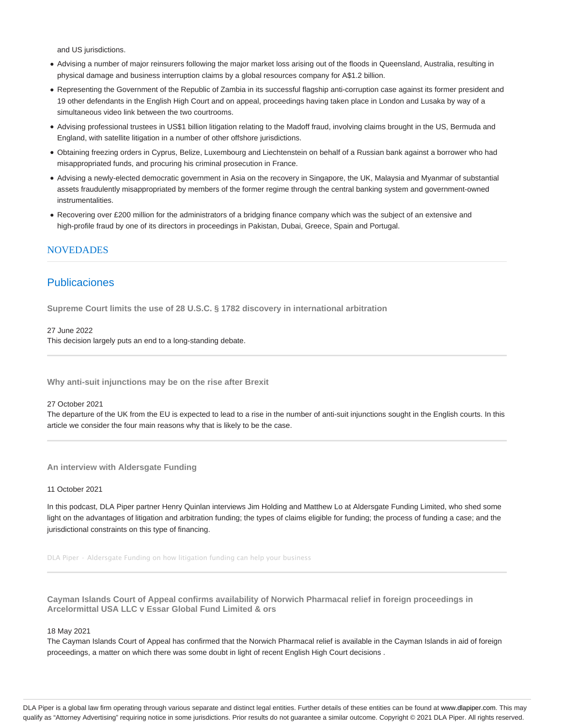and US jurisdictions.

- Advising a number of major reinsurers following the major market loss arising out of the floods in Queensland, Australia, resulting in physical damage and business interruption claims by a global resources company for A\$1.2 billion.
- Representing the Government of the Republic of Zambia in its successful flagship anti-corruption case against its former president and 19 other defendants in the English High Court and on appeal, proceedings having taken place in London and Lusaka by way of a simultaneous video link between the two courtrooms.
- Advising professional trustees in US\$1 billion litigation relating to the Madoff fraud, involving claims brought in the US, Bermuda and England, with satellite litigation in a number of other offshore jurisdictions.
- Obtaining freezing orders in Cyprus, Belize, Luxembourg and Liechtenstein on behalf of a Russian bank against a borrower who had misappropriated funds, and procuring his criminal prosecution in France.
- Advising a newly-elected democratic government in Asia on the recovery in Singapore, the UK, Malaysia and Myanmar of substantial assets fraudulently misappropriated by members of the former regime through the central banking system and government-owned instrumentalities.
- Recovering over £200 million for the administrators of a bridging finance company which was the subject of an extensive and high-profile fraud by one of its directors in proceedings in Pakistan, Dubai, Greece, Spain and Portugal.

## NOVEDADES

# Publicaciones

**Supreme Court limits the use of 28 U.S.C. § 1782 discovery in international arbitration**

#### 27 June 2022

This decision largely puts an end to a long-standing debate.

**Why anti-suit injunctions may be on the rise after Brexit**

#### 27 October 2021

The departure of the UK from the EU is expected to lead to a rise in the number of anti-suit injunctions sought in the English courts. In this article we consider the four main reasons why that is likely to be the case.

**An interview with Aldersgate Funding**

## 11 October 2021

In this podcast, DLA Piper partner Henry Quinlan interviews Jim Holding and Matthew Lo at Aldersgate Funding Limited, who shed some light on the advantages of litigation and arbitration funding; the types of claims eligible for funding; the process of funding a case; and the jurisdictional constraints on this type of financing.

DLA Piper · Aldersgate Funding on how litigation funding can help your business

**Cayman Islands Court of Appeal confirms availability of Norwich Pharmacal relief in foreign proceedings in Arcelormittal USA LLC v Essar Global Fund Limited & ors**

#### 18 May 2021

The Cayman Islands Court of Appeal has confirmed that the Norwich Pharmacal relief is available in the Cayman Islands in aid of foreign proceedings, a matter on which there was some doubt in light of recent English High Court decisions .

DLA Piper is a global law firm operating through various separate and distinct legal entities. Further details of these entities can be found at www.dlapiper.com. This may qualify as "Attorney Advertising" requiring notice in some jurisdictions. Prior results do not guarantee a similar outcome. Copyright @ 2021 DLA Piper. All rights reserved.